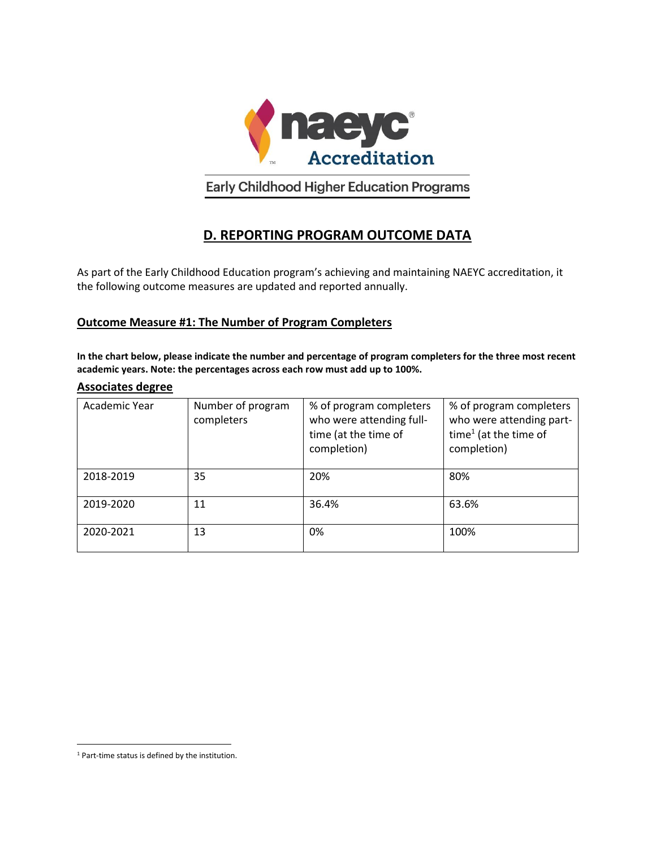

Early Childhood Higher Education Programs

# **D. REPORTING PROGRAM OUTCOME DATA**

As part of the Early Childhood Education program's achieving and maintaining NAEYC accreditation, it the following outcome measures are updated and reported annually.

## **Outcome Measure #1: The Number of Program Completers**

**In the chart below, please indicate the number and percentage of program completers for the three most recent academic years. Note: the percentages across each row must add up to 100%.**

#### **Associates degree**

| Academic Year | Number of program<br>completers | % of program completers<br>who were attending full-<br>time (at the time of<br>completion) | % of program completers<br>who were attending part-<br>time <sup>1</sup> (at the time of<br>completion) |
|---------------|---------------------------------|--------------------------------------------------------------------------------------------|---------------------------------------------------------------------------------------------------------|
| 2018-2019     | 35                              | 20%                                                                                        | 80%                                                                                                     |
| 2019-2020     | 11                              | 36.4%                                                                                      | 63.6%                                                                                                   |
| 2020-2021     | 13                              | 0%                                                                                         | 100%                                                                                                    |

<sup>1</sup> Part-time status is defined by the institution.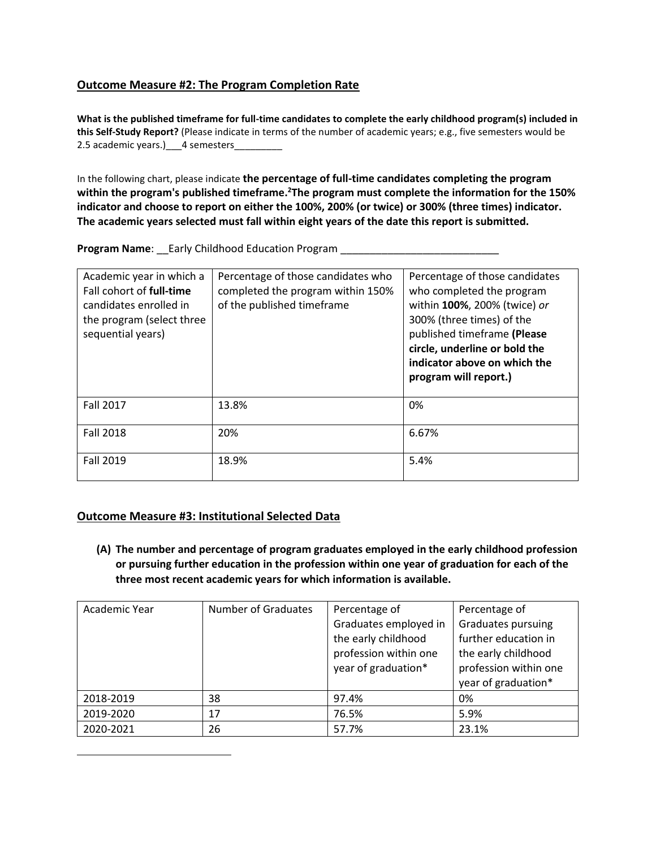# **Outcome Measure #2: The Program Completion Rate**

**What is the published timeframe for full-time candidates to complete the early childhood program(s) included in this Self-Study Report?** (Please indicate in terms of the number of academic years; e.g., five semesters would be 2.5 academic years.)\_\_\_4 semesters\_\_\_\_

In the following chart, please indicate **the percentage of full-time candidates completing the program within the program's published timeframe.<sup>2</sup>The program must complete the information for the 150% indicator and choose to report on either the 100%, 200% (or twice) or 300% (three times) indicator. The academic years selected must fall within eight years of the date this report is submitted.**

**Program Name:** Early Childhood Education Program

| Academic year in which a<br>Fall cohort of full-time<br>candidates enrolled in<br>the program (select three<br>sequential years) | Percentage of those candidates who<br>completed the program within 150%<br>of the published timeframe | Percentage of those candidates<br>who completed the program<br>within 100%, 200% (twice) or<br>300% (three times) of the<br>published timeframe (Please<br>circle, underline or bold the<br>indicator above on which the<br>program will report.) |
|----------------------------------------------------------------------------------------------------------------------------------|-------------------------------------------------------------------------------------------------------|---------------------------------------------------------------------------------------------------------------------------------------------------------------------------------------------------------------------------------------------------|
| <b>Fall 2017</b>                                                                                                                 | 13.8%                                                                                                 | 0%                                                                                                                                                                                                                                                |
| <b>Fall 2018</b>                                                                                                                 | 20%                                                                                                   | 6.67%                                                                                                                                                                                                                                             |
| Fall 2019                                                                                                                        | 18.9%                                                                                                 | 5.4%                                                                                                                                                                                                                                              |

## **Outcome Measure #3: Institutional Selected Data**

**(A) The number and percentage of program graduates employed in the early childhood profession or pursuing further education in the profession within one year of graduation for each of the three most recent academic years for which information is available.** 

| Academic Year | <b>Number of Graduates</b> | Percentage of<br>Graduates employed in<br>the early childhood<br>profession within one<br>year of graduation* | Percentage of<br>Graduates pursuing<br>further education in<br>the early childhood<br>profession within one<br>year of graduation* |
|---------------|----------------------------|---------------------------------------------------------------------------------------------------------------|------------------------------------------------------------------------------------------------------------------------------------|
| 2018-2019     | 38                         | 97.4%                                                                                                         | 0%                                                                                                                                 |
| 2019-2020     | 17                         | 76.5%                                                                                                         | 5.9%                                                                                                                               |
| 2020-2021     | 26                         | 57.7%                                                                                                         | 23.1%                                                                                                                              |